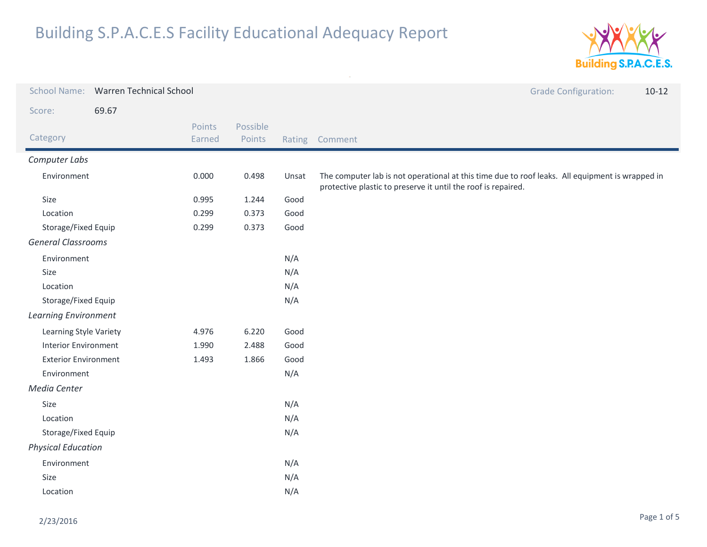

| <b>School Name:</b>         | <b>Warren Technical School</b> |                  |                    |        |                                                                                                                                                                  | <b>Grade Configuration:</b> | $10-12$ |
|-----------------------------|--------------------------------|------------------|--------------------|--------|------------------------------------------------------------------------------------------------------------------------------------------------------------------|-----------------------------|---------|
| Score:                      | 69.67                          |                  |                    |        |                                                                                                                                                                  |                             |         |
| Category                    |                                | Points<br>Earned | Possible<br>Points | Rating | Comment                                                                                                                                                          |                             |         |
| Computer Labs               |                                |                  |                    |        |                                                                                                                                                                  |                             |         |
| Environment                 |                                | 0.000            | 0.498              | Unsat  | The computer lab is not operational at this time due to roof leaks. All equipment is wrapped in<br>protective plastic to preserve it until the roof is repaired. |                             |         |
| Size                        |                                | 0.995            | 1.244              | Good   |                                                                                                                                                                  |                             |         |
| Location                    |                                | 0.299            | 0.373              | Good   |                                                                                                                                                                  |                             |         |
| Storage/Fixed Equip         |                                | 0.299            | 0.373              | Good   |                                                                                                                                                                  |                             |         |
| <b>General Classrooms</b>   |                                |                  |                    |        |                                                                                                                                                                  |                             |         |
| Environment                 |                                |                  |                    | N/A    |                                                                                                                                                                  |                             |         |
| Size                        |                                |                  |                    | N/A    |                                                                                                                                                                  |                             |         |
| Location                    |                                |                  |                    | N/A    |                                                                                                                                                                  |                             |         |
| Storage/Fixed Equip         |                                |                  |                    | N/A    |                                                                                                                                                                  |                             |         |
| <b>Learning Environment</b> |                                |                  |                    |        |                                                                                                                                                                  |                             |         |
| Learning Style Variety      |                                | 4.976            | 6.220              | Good   |                                                                                                                                                                  |                             |         |
| <b>Interior Environment</b> |                                | 1.990            | 2.488              | Good   |                                                                                                                                                                  |                             |         |
| <b>Exterior Environment</b> |                                | 1.493            | 1.866              | Good   |                                                                                                                                                                  |                             |         |
| Environment                 |                                |                  |                    | N/A    |                                                                                                                                                                  |                             |         |
| Media Center                |                                |                  |                    |        |                                                                                                                                                                  |                             |         |
| Size                        |                                |                  |                    | N/A    |                                                                                                                                                                  |                             |         |
| Location                    |                                |                  | N/A                |        |                                                                                                                                                                  |                             |         |
| Storage/Fixed Equip         |                                |                  | N/A                |        |                                                                                                                                                                  |                             |         |
| <b>Physical Education</b>   |                                |                  |                    |        |                                                                                                                                                                  |                             |         |
| Environment                 |                                |                  | N/A                |        |                                                                                                                                                                  |                             |         |
| Size                        |                                | N/A              |                    |        |                                                                                                                                                                  |                             |         |
| Location                    |                                |                  | N/A                |        |                                                                                                                                                                  |                             |         |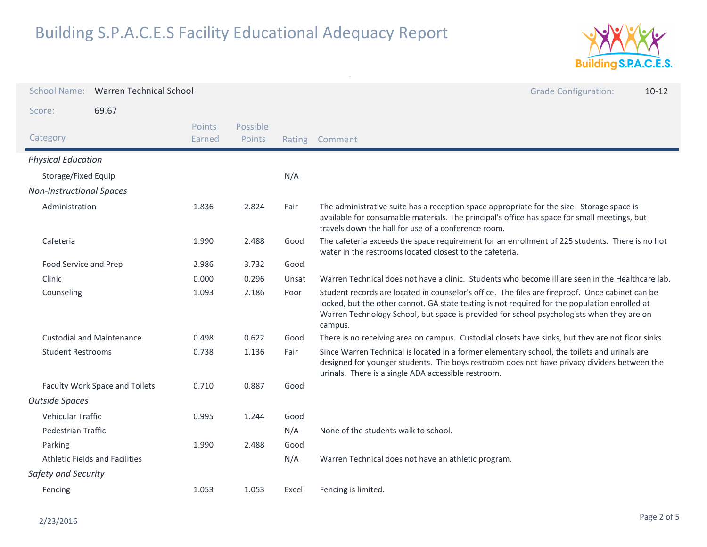

|                                       | School Name: Warren Technical School |                  |                    |        | <b>Grade Configuration:</b><br>$10-12$                                                                                                                                                                                                                                                                   |
|---------------------------------------|--------------------------------------|------------------|--------------------|--------|----------------------------------------------------------------------------------------------------------------------------------------------------------------------------------------------------------------------------------------------------------------------------------------------------------|
| Score:                                | 69.67                                |                  |                    |        |                                                                                                                                                                                                                                                                                                          |
| Category                              |                                      | Points<br>Earned | Possible<br>Points | Rating | Comment                                                                                                                                                                                                                                                                                                  |
| <b>Physical Education</b>             |                                      |                  |                    |        |                                                                                                                                                                                                                                                                                                          |
| Storage/Fixed Equip                   |                                      |                  |                    | N/A    |                                                                                                                                                                                                                                                                                                          |
| <b>Non-Instructional Spaces</b>       |                                      |                  |                    |        |                                                                                                                                                                                                                                                                                                          |
| Administration                        |                                      | 1.836            | 2.824              | Fair   | The administrative suite has a reception space appropriate for the size. Storage space is<br>available for consumable materials. The principal's office has space for small meetings, but<br>travels down the hall for use of a conference room.                                                         |
| Cafeteria                             |                                      | 1.990            | 2.488              | Good   | The cafeteria exceeds the space requirement for an enrollment of 225 students. There is no hot<br>water in the restrooms located closest to the cafeteria.                                                                                                                                               |
| Food Service and Prep                 |                                      | 2.986            | 3.732              | Good   |                                                                                                                                                                                                                                                                                                          |
| Clinic                                |                                      | 0.000            | 0.296              | Unsat  | Warren Technical does not have a clinic. Students who become ill are seen in the Healthcare lab.                                                                                                                                                                                                         |
| Counseling                            |                                      | 1.093            | 2.186              | Poor   | Student records are located in counselor's office. The files are fireproof. Once cabinet can be<br>locked, but the other cannot. GA state testing is not required for the population enrolled at<br>Warren Technology School, but space is provided for school psychologists when they are on<br>campus. |
| <b>Custodial and Maintenance</b>      |                                      | 0.498            | 0.622              | Good   | There is no receiving area on campus. Custodial closets have sinks, but they are not floor sinks.                                                                                                                                                                                                        |
| <b>Student Restrooms</b>              |                                      | 0.738            | 1.136              | Fair   | Since Warren Technical is located in a former elementary school, the toilets and urinals are<br>designed for younger students. The boys restroom does not have privacy dividers between the<br>urinals. There is a single ADA accessible restroom.                                                       |
| Faculty Work Space and Toilets        |                                      | 0.710            | 0.887              | Good   |                                                                                                                                                                                                                                                                                                          |
| <b>Outside Spaces</b>                 |                                      |                  |                    |        |                                                                                                                                                                                                                                                                                                          |
| Vehicular Traffic                     |                                      | 0.995            | 1.244              | Good   |                                                                                                                                                                                                                                                                                                          |
| <b>Pedestrian Traffic</b>             |                                      |                  |                    | N/A    | None of the students walk to school.                                                                                                                                                                                                                                                                     |
| Parking                               |                                      | 1.990            | 2.488              | Good   |                                                                                                                                                                                                                                                                                                          |
| <b>Athletic Fields and Facilities</b> |                                      |                  |                    | N/A    | Warren Technical does not have an athletic program.                                                                                                                                                                                                                                                      |
| Safety and Security                   |                                      |                  |                    |        |                                                                                                                                                                                                                                                                                                          |
| Fencing                               |                                      | 1.053            | 1.053              | Excel  | Fencing is limited.                                                                                                                                                                                                                                                                                      |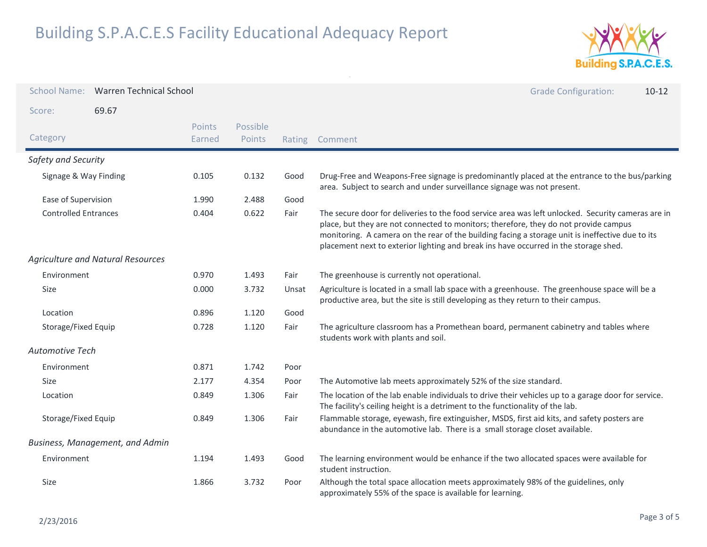

| <b>School Name:</b>                      | <b>Warren Technical School</b> |                    |        | <b>Grade Configuration:</b><br>$10 - 12$                                                                                                                                                                                                                                                                                                                                               |
|------------------------------------------|--------------------------------|--------------------|--------|----------------------------------------------------------------------------------------------------------------------------------------------------------------------------------------------------------------------------------------------------------------------------------------------------------------------------------------------------------------------------------------|
| 69.67<br>Score:                          |                                |                    |        |                                                                                                                                                                                                                                                                                                                                                                                        |
| Category                                 | <b>Points</b><br>Earned        | Possible<br>Points | Rating | Comment                                                                                                                                                                                                                                                                                                                                                                                |
| Safety and Security                      |                                |                    |        |                                                                                                                                                                                                                                                                                                                                                                                        |
| Signage & Way Finding                    | 0.105                          | 0.132              | Good   | Drug-Free and Weapons-Free signage is predominantly placed at the entrance to the bus/parking<br>area. Subject to search and under surveillance signage was not present.                                                                                                                                                                                                               |
| Ease of Supervision                      | 1.990                          | 2.488              | Good   |                                                                                                                                                                                                                                                                                                                                                                                        |
| <b>Controlled Entrances</b>              | 0.404                          | 0.622              | Fair   | The secure door for deliveries to the food service area was left unlocked. Security cameras are in<br>place, but they are not connected to monitors; therefore, they do not provide campus<br>monitoring. A camera on the rear of the building facing a storage unit is ineffective due to its<br>placement next to exterior lighting and break ins have occurred in the storage shed. |
| <b>Agriculture and Natural Resources</b> |                                |                    |        |                                                                                                                                                                                                                                                                                                                                                                                        |
| Environment                              | 0.970                          | 1.493              | Fair   | The greenhouse is currently not operational.                                                                                                                                                                                                                                                                                                                                           |
| <b>Size</b>                              | 0.000                          | 3.732              | Unsat  | Agriculture is located in a small lab space with a greenhouse. The greenhouse space will be a<br>productive area, but the site is still developing as they return to their campus.                                                                                                                                                                                                     |
| Location                                 | 0.896                          | 1.120              | Good   |                                                                                                                                                                                                                                                                                                                                                                                        |
| Storage/Fixed Equip                      | 0.728                          | 1.120              | Fair   | The agriculture classroom has a Promethean board, permanent cabinetry and tables where<br>students work with plants and soil.                                                                                                                                                                                                                                                          |
| Automotive Tech                          |                                |                    |        |                                                                                                                                                                                                                                                                                                                                                                                        |
| Environment                              | 0.871                          | 1.742              | Poor   |                                                                                                                                                                                                                                                                                                                                                                                        |
| <b>Size</b>                              | 2.177                          | 4.354              | Poor   | The Automotive lab meets approximately 52% of the size standard.                                                                                                                                                                                                                                                                                                                       |
| Location                                 | 0.849                          | 1.306              | Fair   | The location of the lab enable individuals to drive their vehicles up to a garage door for service.<br>The facility's ceiling height is a detriment to the functionality of the lab.                                                                                                                                                                                                   |
| Storage/Fixed Equip                      | 0.849                          | 1.306              | Fair   | Flammable storage, eyewash, fire extinguisher, MSDS, first aid kits, and safety posters are<br>abundance in the automotive lab. There is a small storage closet available.                                                                                                                                                                                                             |
| <b>Business, Management, and Admin</b>   |                                |                    |        |                                                                                                                                                                                                                                                                                                                                                                                        |
| Environment                              | 1.194                          | 1.493              | Good   | The learning environment would be enhance if the two allocated spaces were available for<br>student instruction.                                                                                                                                                                                                                                                                       |
| Size                                     | 1.866                          | 3.732              | Poor   | Although the total space allocation meets approximately 98% of the guidelines, only<br>approximately 55% of the space is available for learning.                                                                                                                                                                                                                                       |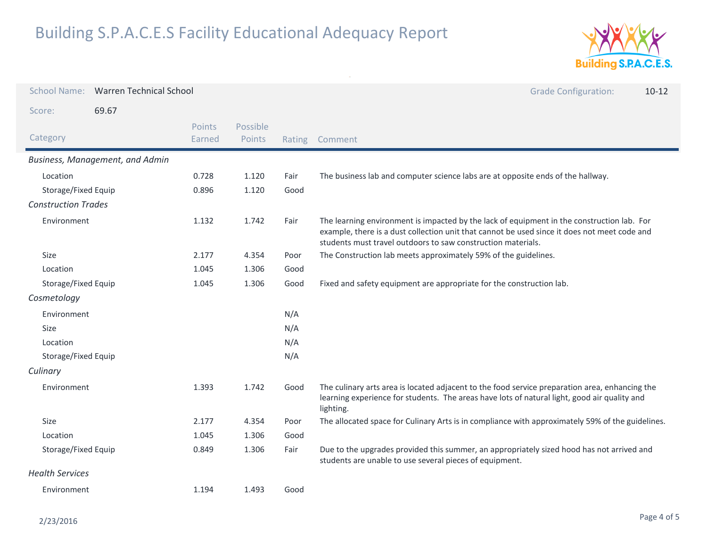

| <b>School Name:</b>             | <b>Warren Technical School</b> |                  |                    |        | <b>Grade Configuration:</b><br>$10-12$                                                                                                                                                                                                                     |
|---------------------------------|--------------------------------|------------------|--------------------|--------|------------------------------------------------------------------------------------------------------------------------------------------------------------------------------------------------------------------------------------------------------------|
| Score:                          | 69.67                          |                  |                    |        |                                                                                                                                                                                                                                                            |
| Category                        |                                | Points<br>Earned | Possible<br>Points | Rating | Comment                                                                                                                                                                                                                                                    |
| Business, Management, and Admin |                                |                  |                    |        |                                                                                                                                                                                                                                                            |
| Location                        |                                | 0.728            | 1.120              | Fair   | The business lab and computer science labs are at opposite ends of the hallway.                                                                                                                                                                            |
| Storage/Fixed Equip             |                                | 0.896            | 1.120              | Good   |                                                                                                                                                                                                                                                            |
| <b>Construction Trades</b>      |                                |                  |                    |        |                                                                                                                                                                                                                                                            |
| Environment                     |                                | 1.132            | 1.742              | Fair   | The learning environment is impacted by the lack of equipment in the construction lab. For<br>example, there is a dust collection unit that cannot be used since it does not meet code and<br>students must travel outdoors to saw construction materials. |
| Size                            |                                | 2.177            | 4.354              | Poor   | The Construction lab meets approximately 59% of the guidelines.                                                                                                                                                                                            |
| Location                        |                                | 1.045            | 1.306              | Good   |                                                                                                                                                                                                                                                            |
| Storage/Fixed Equip             |                                | 1.045            | 1.306              | Good   | Fixed and safety equipment are appropriate for the construction lab.                                                                                                                                                                                       |
| Cosmetology                     |                                |                  |                    |        |                                                                                                                                                                                                                                                            |
| Environment                     |                                |                  |                    | N/A    |                                                                                                                                                                                                                                                            |
| Size                            |                                |                  |                    | N/A    |                                                                                                                                                                                                                                                            |
| Location                        |                                |                  |                    | N/A    |                                                                                                                                                                                                                                                            |
| Storage/Fixed Equip             |                                |                  |                    | N/A    |                                                                                                                                                                                                                                                            |
| Culinary                        |                                |                  |                    |        |                                                                                                                                                                                                                                                            |
| Environment                     |                                | 1.393            | 1.742              | Good   | The culinary arts area is located adjacent to the food service preparation area, enhancing the<br>learning experience for students. The areas have lots of natural light, good air quality and<br>lighting.                                                |
| Size                            |                                | 2.177            | 4.354              | Poor   | The allocated space for Culinary Arts is in compliance with approximately 59% of the guidelines.                                                                                                                                                           |
| Location                        |                                | 1.045            | 1.306              | Good   |                                                                                                                                                                                                                                                            |
| Storage/Fixed Equip             |                                | 0.849            | 1.306              | Fair   | Due to the upgrades provided this summer, an appropriately sized hood has not arrived and<br>students are unable to use several pieces of equipment.                                                                                                       |
| <b>Health Services</b>          |                                |                  |                    |        |                                                                                                                                                                                                                                                            |
| Environment                     |                                | 1.194            | 1.493              | Good   |                                                                                                                                                                                                                                                            |